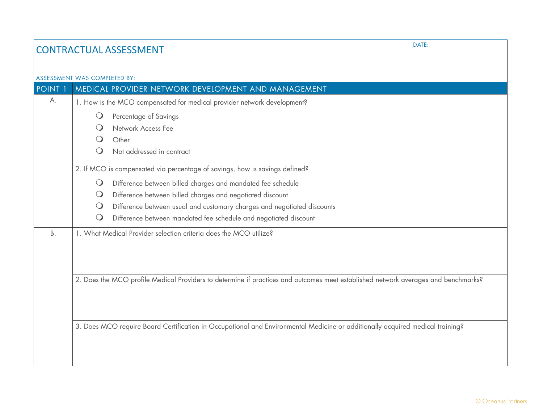## **CONTRACTUAL ASSESSMENT**

|                                                                             | <b>ASSESSMENT WAS COMPLETED BY:</b>                                                                                                |  |  |
|-----------------------------------------------------------------------------|------------------------------------------------------------------------------------------------------------------------------------|--|--|
| <b>POINT 1</b>                                                              | MEDICAL PROVIDER NETWORK DEVELOPMENT AND MANAGEMENT                                                                                |  |  |
| А.                                                                          | 1. How is the MCO compensated for medical provider network development?                                                            |  |  |
|                                                                             | $\bigcirc$<br>Percentage of Savings                                                                                                |  |  |
|                                                                             | Network Access Fee<br>$\Omega$                                                                                                     |  |  |
|                                                                             | Other                                                                                                                              |  |  |
|                                                                             | Not addressed in contract                                                                                                          |  |  |
| 2. If MCO is compensated via percentage of savings, how is savings defined? |                                                                                                                                    |  |  |
|                                                                             | Difference between billed charges and mandated fee schedule<br>$\bigcirc$                                                          |  |  |
|                                                                             | Difference between billed charges and negotiated discount<br>$\bigcirc$                                                            |  |  |
|                                                                             | Difference between usual and customary charges and negotiated discounts<br>$\bigcirc$                                              |  |  |
|                                                                             | Difference between mandated fee schedule and negotiated discount                                                                   |  |  |
| <b>B.</b>                                                                   | 1. What Medical Provider selection criteria does the MCO utilize?                                                                  |  |  |
|                                                                             |                                                                                                                                    |  |  |
|                                                                             |                                                                                                                                    |  |  |
|                                                                             | 2. Does the MCO profile Medical Providers to determine if practices and outcomes meet established network averages and benchmarks? |  |  |
|                                                                             |                                                                                                                                    |  |  |
|                                                                             |                                                                                                                                    |  |  |
|                                                                             | 3. Does MCO require Board Certification in Occupational and Environmental Medicine or additionally acquired medical training?      |  |  |
|                                                                             |                                                                                                                                    |  |  |
|                                                                             |                                                                                                                                    |  |  |
|                                                                             |                                                                                                                                    |  |  |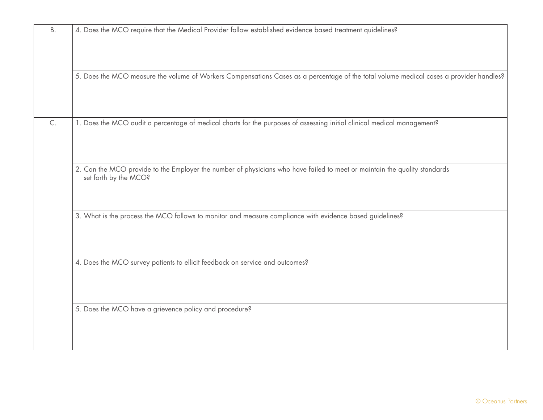| <b>B.</b>     | 4. Does the MCO require that the Medical Provider follow established evidence based treatment quidelines?                                          |
|---------------|----------------------------------------------------------------------------------------------------------------------------------------------------|
|               | 5. Does the MCO measure the volume of Workers Compensations Cases as a percentage of the total volume medical cases a provider handles?            |
| $\mathsf{C}.$ | 1. Does the MCO audit a percentage of medical charts for the purposes of assessing initial clinical medical management?                            |
|               | 2. Can the MCO provide to the Employer the number of physicians who have failed to meet or maintain the quality standards<br>set forth by the MCO? |
|               | 3. What is the process the MCO follows to monitor and measure compliance with evidence based guidelines?                                           |
|               | 4. Does the MCO survey patients to ellicit feedback on service and outcomes?                                                                       |
|               | 5. Does the MCO have a grievence policy and procedure?                                                                                             |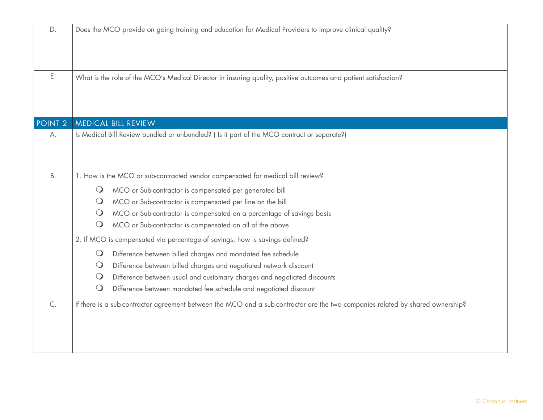| D.                                                                          | Does the MCO provide on going training and education for Medical Providers to improve clinical quality?                        |
|-----------------------------------------------------------------------------|--------------------------------------------------------------------------------------------------------------------------------|
| Ε.                                                                          | What is the role of the MCO's Medical Director in insuring quality, positive outcomes and patient satisfaction?                |
| POINT <sub>2</sub>                                                          | <b>MEDICAL BILL REVIEW</b>                                                                                                     |
| А.                                                                          | Is Medical Bill Review bundled or unbundled? (Is it part of the MCO contract or separate?)                                     |
| <b>B.</b>                                                                   | 1. How is the MCO or sub-contracted vendor compensated for medical bill review?                                                |
|                                                                             | MCO or Sub-contractor is compensated per generated bill<br>$\bigcirc$                                                          |
|                                                                             | MCO or Sub-contractor is compensated per line on the bill<br>$\bigcirc$                                                        |
|                                                                             | MCO or Sub-contractor is compensated on a percentage of savings basis<br>$\bigcirc$                                            |
|                                                                             | MCO or Sub-contractor is compensated on all of the above<br>$\bigcirc$                                                         |
| 2. If MCO is compensated via percentage of savings, how is savings defined? |                                                                                                                                |
|                                                                             | Difference between billed charges and mandated fee schedule<br>$\bigcirc$                                                      |
|                                                                             | Difference between billed charges and negotiated network discount<br>$\bigcirc$                                                |
|                                                                             | Difference between usual and customary charges and negotiated discounts<br>$\bigcirc$                                          |
|                                                                             | Difference between mandated fee schedule and negotiated discount<br>$\bigcirc$                                                 |
| C.                                                                          | If there is a sub-contractor agreement between the MCO and a sub-contractor are the two companies related by shared ownership? |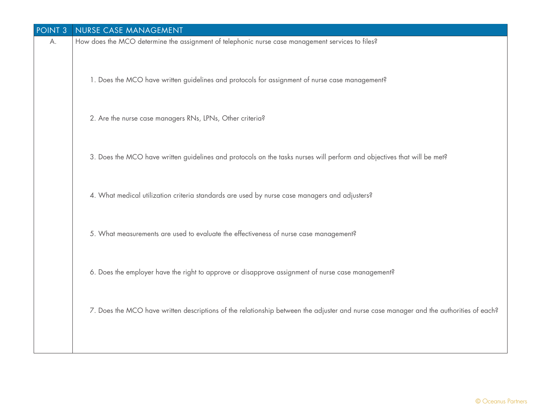| POINT <sub>3</sub> | NURSE CASE MANAGEMENT                                                                                                                  |
|--------------------|----------------------------------------------------------------------------------------------------------------------------------------|
| А.                 | How does the MCO determine the assignment of telephonic nurse case management services to files?                                       |
|                    | 1. Does the MCO have written guidelines and protocols for assignment of nurse case management?                                         |
|                    | 2. Are the nurse case managers RNs, LPNs, Other criteria?                                                                              |
|                    | 3. Does the MCO have written guidelines and protocols on the tasks nurses will perform and objectives that will be met?                |
|                    | 4. What medical utilization criteria standards are used by nurse case managers and adjusters?                                          |
|                    | 5. What measurements are used to evaluate the effectiveness of nurse case management?                                                  |
|                    | 6. Does the employer have the right to approve or disapprove assignment of nurse case management?                                      |
|                    | 7. Does the MCO have written descriptions of the relationship between the adjuster and nurse case manager and the authorities of each? |
|                    |                                                                                                                                        |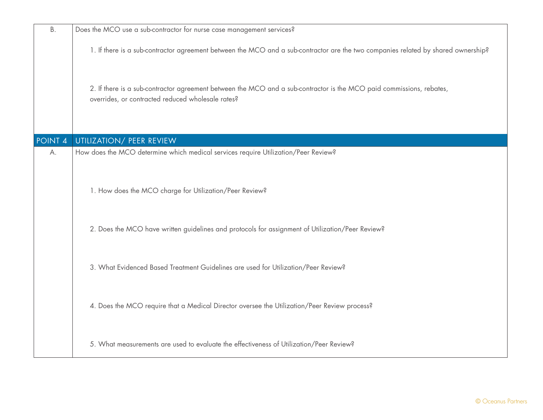| <b>B.</b>          | Does the MCO use a sub-contractor for nurse case management services?                                                                                                     |
|--------------------|---------------------------------------------------------------------------------------------------------------------------------------------------------------------------|
|                    | 1. If there is a sub-contractor agreement between the MCO and a sub-contractor are the two companies related by shared ownership?                                         |
|                    | 2. If there is a sub-contractor agreement between the MCO and a sub-contractor is the MCO paid commissions, rebates,<br>overrides, or contracted reduced wholesale rates? |
| POINT <sub>4</sub> | UTILIZATION/ PEER REVIEW                                                                                                                                                  |
| А.                 | How does the MCO determine which medical services require Utilization/Peer Review?                                                                                        |
|                    | 1. How does the MCO charge for Utilization/Peer Review?                                                                                                                   |
|                    | 2. Does the MCO have written guidelines and protocols for assignment of Utilization/Peer Review?                                                                          |
|                    | 3. What Evidenced Based Treatment Guidelines are used for Utilization/Peer Review?                                                                                        |
|                    | 4. Does the MCO require that a Medical Director oversee the Utilization/Peer Review process?                                                                              |
|                    | 5. What measurements are used to evaluate the effectiveness of Utilization/Peer Review?                                                                                   |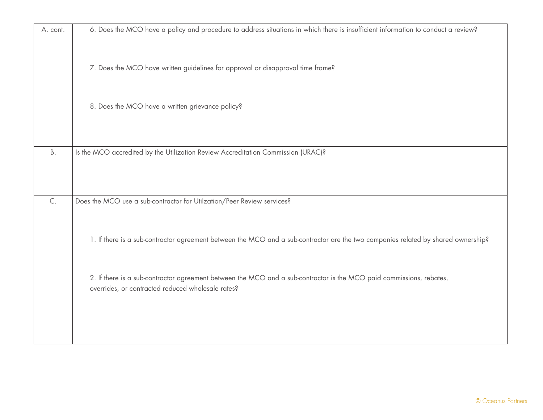| A. cont.  | 6. Does the MCO have a policy and procedure to address situations in which there is insufficient information to conduct a review? |
|-----------|-----------------------------------------------------------------------------------------------------------------------------------|
|           |                                                                                                                                   |
|           |                                                                                                                                   |
|           |                                                                                                                                   |
|           | 7. Does the MCO have written guidelines for approval or disapproval time frame?                                                   |
|           |                                                                                                                                   |
|           |                                                                                                                                   |
|           | 8. Does the MCO have a written grievance policy?                                                                                  |
|           |                                                                                                                                   |
|           |                                                                                                                                   |
|           |                                                                                                                                   |
|           |                                                                                                                                   |
| <b>B.</b> | Is the MCO accredited by the Utilization Review Accreditation Commission (URAC)?                                                  |
|           |                                                                                                                                   |
|           |                                                                                                                                   |
|           |                                                                                                                                   |
|           |                                                                                                                                   |
| C.        | Does the MCO use a sub-contractor for Utilzation/Peer Review services?                                                            |
|           |                                                                                                                                   |
|           |                                                                                                                                   |
|           | 1. If there is a sub-contractor agreement between the MCO and a sub-contractor are the two companies related by shared ownership? |
|           |                                                                                                                                   |
|           |                                                                                                                                   |
|           |                                                                                                                                   |
|           | 2. If there is a sub-contractor agreement between the MCO and a sub-contractor is the MCO paid commissions, rebates,              |
|           | overrides, or contracted reduced wholesale rates?                                                                                 |
|           |                                                                                                                                   |
|           |                                                                                                                                   |
|           |                                                                                                                                   |
|           |                                                                                                                                   |
|           |                                                                                                                                   |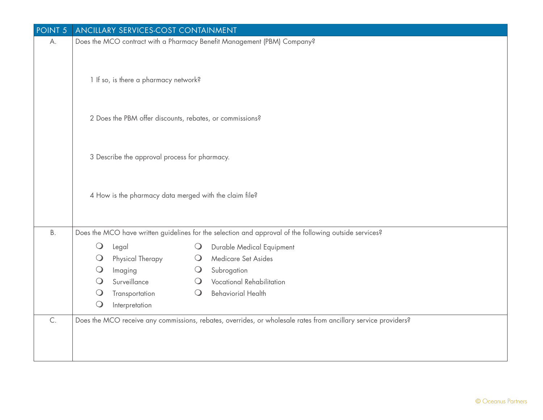| POINT <sub>5</sub> | <b>ANCILLARY SERVICES-COST CONTAINMENT</b>               |                                                                                                                |
|--------------------|----------------------------------------------------------|----------------------------------------------------------------------------------------------------------------|
| А.                 |                                                          | Does the MCO contract with a Pharmacy Benefit Management (PBM) Company?                                        |
|                    | 1 If so, is there a pharmacy network?                    |                                                                                                                |
|                    | 2 Does the PBM offer discounts, rebates, or commissions? |                                                                                                                |
|                    | 3 Describe the approval process for pharmacy.            |                                                                                                                |
|                    | 4 How is the pharmacy data merged with the claim file?   |                                                                                                                |
| <b>B.</b>          |                                                          | Does the MCO have written guidelines for the selection and approval of the following outside services?         |
|                    | $\bigcirc$<br>Legal                                      | Durable Medical Equipment<br>$\bigcirc$                                                                        |
|                    | Physical Therapy<br>$\bigcirc$                           | Medicare Set Asides<br>$\bigcirc$                                                                              |
|                    | $\bigcirc$<br>Imaging                                    | Subrogation<br>$\bigcirc$                                                                                      |
|                    | $\bigcirc$<br>Surveillance                               | <b>Vocational Rehabilitation</b><br>$\bigcirc$                                                                 |
|                    | Transportation<br>$\bigcirc$                             | <b>Behaviorial Health</b><br>$\bigcirc$                                                                        |
|                    | $\bigcirc$<br>Interpretation                             |                                                                                                                |
| $\mathsf{C}.$      |                                                          | Does the MCO receive any commissions, rebates, overrides, or wholesale rates from ancillary service providers? |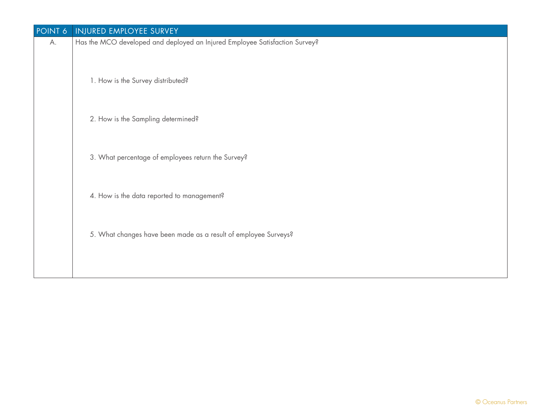| POINT 6 | INJURED EMPLOYEE SURVEY                                                     |
|---------|-----------------------------------------------------------------------------|
| А.      | Has the MCO developed and deployed an Injured Employee Satisfaction Survey? |
|         | 1. How is the Survey distributed?                                           |
|         | 2. How is the Sampling determined?                                          |
|         | 3. What percentage of employees return the Survey?                          |
|         | 4. How is the data reported to management?                                  |
|         | 5. What changes have been made as a result of employee Surveys?             |
|         |                                                                             |